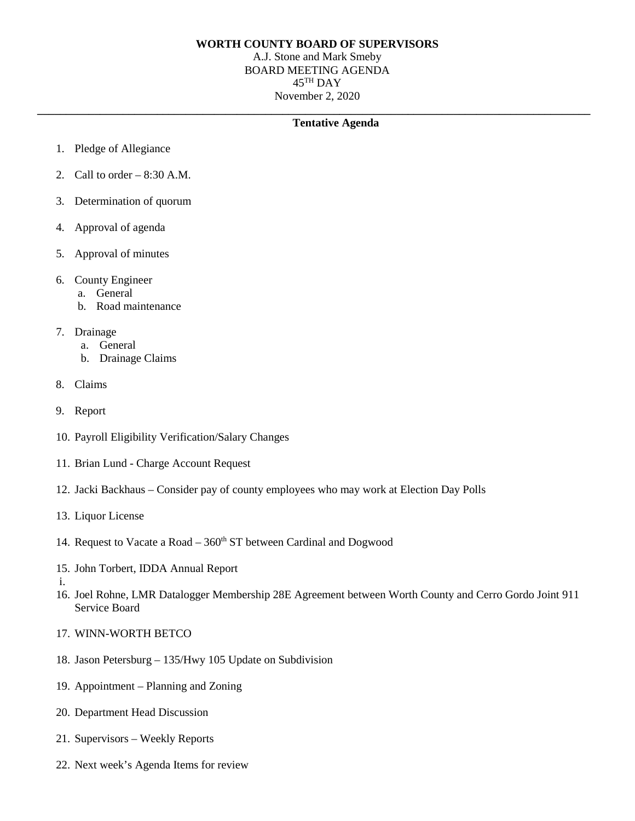## **WORTH COUNTY BOARD OF SUPERVISORS**

A.J. Stone and Mark Smeby BOARD MEETING AGENDA  $45$ <sup>TH</sup> DAY November 2, 2020

**\_\_\_\_\_\_\_\_\_\_\_\_\_\_\_\_\_\_\_\_\_\_\_\_\_\_\_\_\_\_\_\_\_\_\_\_\_\_\_\_\_\_\_\_\_\_\_\_\_\_\_\_\_\_\_\_\_\_\_\_\_\_\_\_\_\_\_\_\_\_\_\_\_\_\_\_\_\_\_\_\_\_\_\_\_\_\_\_\_\_\_\_\_\_\_\_\_**

## **Tentative Agenda**

- 1. Pledge of Allegiance
- 2. Call to order  $-8:30$  A.M.
- 3. Determination of quorum
- 4. Approval of agenda
- 5. Approval of minutes
- 6. County Engineer
	- a. General
	- b. Road maintenance
- 7. Drainage
	- a. General
	- b. Drainage Claims
- 8. Claims
- 9. Report
- 10. Payroll Eligibility Verification/Salary Changes
- 11. Brian Lund Charge Account Request
- 12. Jacki Backhaus Consider pay of county employees who may work at Election Day Polls
- 13. Liquor License
- 14. Request to Vacate a Road  $-360<sup>th</sup>$  ST between Cardinal and Dogwood
- 15. John Torbert, IDDA Annual Report
- i.
- 16. Joel Rohne, LMR Datalogger Membership 28E Agreement between Worth County and Cerro Gordo Joint 911 Service Board
- 17. WINN-WORTH BETCO
- 18. Jason Petersburg 135/Hwy 105 Update on Subdivision
- 19. Appointment Planning and Zoning
- 20. Department Head Discussion
- 21. Supervisors Weekly Reports
- 22. Next week's Agenda Items for review